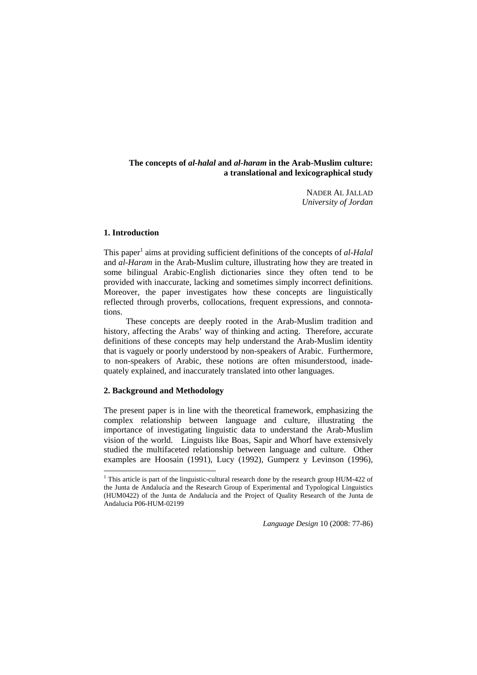# **The concepts of** *al-halal* **and** *al-haram* **in the Arab-Muslim culture: a translational and lexicographical study**

NADER AL JALLAD *University of Jordan* 

# **1. Introduction**

This paper<sup>1</sup> aims at providing sufficient definitions of the concepts of *al-Halal* and *al-Haram* in the Arab-Muslim culture, illustrating how they are treated in some bilingual Arabic-English dictionaries since they often tend to be provided with inaccurate, lacking and sometimes simply incorrect definitions. Moreover, the paper investigates how these concepts are linguistically reflected through proverbs, collocations*,* frequent expressions, and connotations.

These concepts are deeply rooted in the Arab-Muslim tradition and history, affecting the Arabs' way of thinking and acting. Therefore, accurate definitions of these concepts may help understand the Arab-Muslim identity that is vaguely or poorly understood by non-speakers of Arabic. Furthermore, to non-speakers of Arabic, these notions are often misunderstood, inadequately explained, and inaccurately translated into other languages.

## **2. Background and Methodology**

The present paper is in line with the theoretical framework, emphasizing the complex relationship between language and culture, illustrating the importance of investigating linguistic data to understand the Arab-Muslim vision of the world. Linguists like Boas, Sapir and Whorf have extensively studied the multifaceted relationship between language and culture. Other examples are Hoosain (1991), Lucy (1992), Gumperz y Levinson (1996),

*Language Design* 10 (2008: 77-86)

<sup>&</sup>lt;sup>1</sup>This article is part of the linguistic-cultural research done by the research group HUM-422 of the Junta de Andalucía and the Research Group of Experimental and Typological Linguistics (HUM0422) of the Junta de Andalucía and the Project of Quality Research of the Junta de Andalucia P06-HUM-02199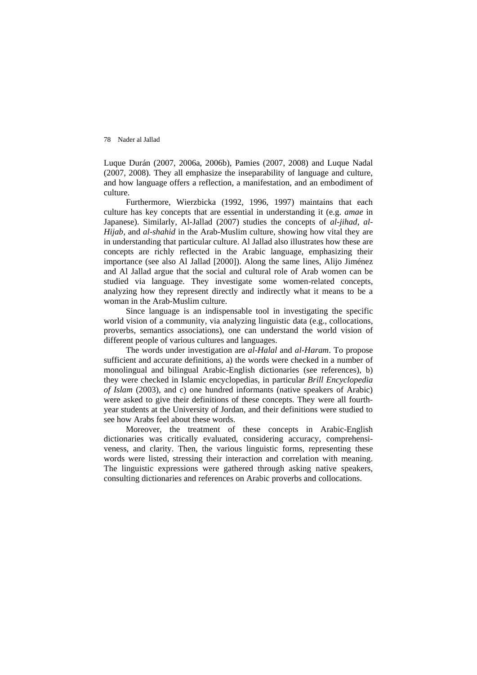Luque Durán (2007, 2006a, 2006b), Pamies (2007, 2008) and Luque Nadal (2007, 2008). They all emphasize the inseparability of language and culture, and how language offers a reflection, a manifestation, and an embodiment of culture.

Furthermore, Wierzbicka (1992, 1996, 1997) maintains that each culture has key concepts that are essential in understanding it (e.g. *amae* in Japanese). Similarly, Al-Jallad (2007) studies the concepts of *al-jihad, al-Hijab,* and *al-shahid* in the Arab-Muslim culture, showing how vital they are in understanding that particular culture. Al Jallad also illustrates how these are concepts are richly reflected in the Arabic language, emphasizing their importance (see also Al Jallad [2000]). Along the same lines, Alijo Jiménez and Al Jallad argue that the social and cultural role of Arab women can be studied via language. They investigate some women-related concepts, analyzing how they represent directly and indirectly what it means to be a woman in the Arab-Muslim culture.

Since language is an indispensable tool in investigating the specific world vision of a community, via analyzing linguistic data (e.g., collocations, proverbs, semantics associations), one can understand the world vision of different people of various cultures and languages.

The words under investigation are *al-Halal* and *al-Haram*. To propose sufficient and accurate definitions, a) the words were checked in a number of monolingual and bilingual Arabic-English dictionaries (see references), b) they were checked in Islamic encyclopedias, in particular *Brill Encyclopedia of Islam* (2003), and c) one hundred informants (native speakers of Arabic) were asked to give their definitions of these concepts. They were all fourthyear students at the University of Jordan, and their definitions were studied to see how Arabs feel about these words.

Moreover, the treatment of these concepts in Arabic-English dictionaries was critically evaluated, considering accuracy, comprehensiveness, and clarity. Then, the various linguistic forms, representing these words were listed, stressing their interaction and correlation with meaning. The linguistic expressions were gathered through asking native speakers, consulting dictionaries and references on Arabic proverbs and collocations.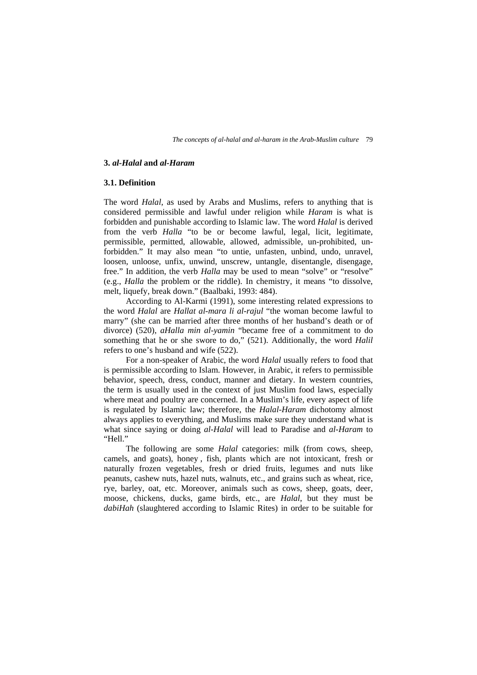## **3.** *al-Halal* **and** *al-Haram*

### **3.1. Definition**

The word *Halal*, as used by Arabs and Muslims, refers to anything that is considered permissible and lawful under religion while *Haram* is what is forbidden and punishable according to Islamic law. The word *Halal* is derived from the verb *Halla* "to be or become lawful, legal, licit, legitimate, permissible, permitted, allowable, allowed, admissible, un-prohibited, unforbidden." It may also mean "to untie, unfasten, unbind, undo, unravel, loosen, unloose, unfix, unwind, unscrew, untangle, disentangle, disengage, free." In addition, the verb *Halla* may be used to mean "solve" or "resolve" (e.g., *Halla* the problem or the riddle). In chemistry, it means "to dissolve, melt, liquefy, break down." (Baalbaki, 1993: 484).

According to Al-Karmi (1991), some interesting related expressions to the word *Halal* are *Hallat al-mara li al-rajul* "the woman become lawful to marry" (she can be married after three months of her husband's death or of divorce) (520), *aHalla min al-yamin* "became free of a commitment to do something that he or she swore to do," (521). Additionally, the word *Halil* refers to one's husband and wife (522).

For a non-speaker of Arabic, the word *Halal* usually refers to food that is permissible according to Islam. However, in Arabic, it refers to permissible behavior, speech, dress, conduct, manner and dietary. In western countries, the term is usually used in the context of just Muslim food laws, especially where meat and poultry are concerned. In a Muslim's life, every aspect of life is regulated by Islamic law; therefore, the *Halal*-*Haram* dichotomy almost always applies to everything, and Muslims make sure they understand what is what since saying or doing *al-Halal* will lead to Paradise and *al-Haram* to "Hell."

The following are some *Halal* categories: milk (from cows, sheep, camels, and goats), honey , fish, plants which are not intoxicant, fresh or naturally frozen vegetables, fresh or dried fruits, legumes and nuts like peanuts, cashew nuts, hazel nuts, walnuts, etc., and grains such as wheat, rice, rye, barley, oat, etc. Moreover, animals such as cows, sheep, goats, deer, moose, chickens, ducks, game birds, etc., are *Halal*, but they must be *dabiHah* (slaughtered according to Islamic Rites) in order to be suitable for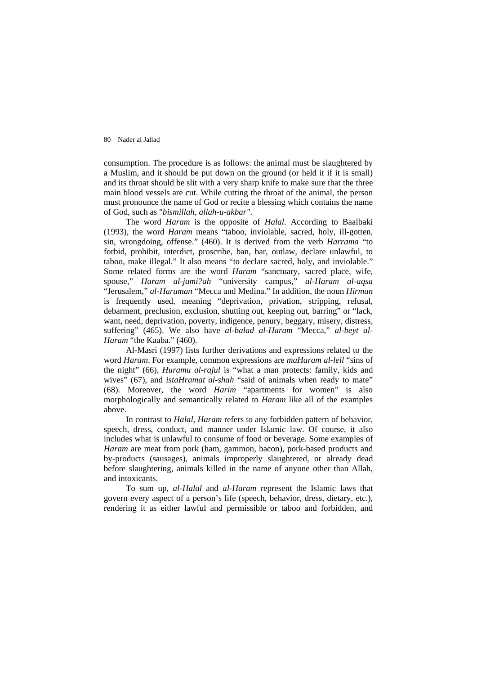consumption. The procedure is as follows: the animal must be slaughtered by a Muslim, and it should be put down on the ground (or held it if it is small) and its throat should be slit with a very sharp knife to make sure that the three main blood vessels are cut. While cutting the throat of the animal, the person must pronounce the name of God or recite a blessing which contains the name of God, such as "*bismillah, allah-u-akbar"*.

The word *Haram* is the opposite of *Halal*. According to Baalbaki (1993), the word *Haram* means "taboo, inviolable, sacred, holy, ill-gotten, sin, wrongdoing, offense." (460). It is derived from the verb *Harrama* "to forbid, prohibit, interdict, proscribe, ban, bar, outlaw, declare unlawful, to taboo, make illegal." It also means "to declare sacred, holy, and inviolable." Some related forms are the word *Haram* "sanctuary, sacred place, wife, spouse," *Haram al-jami?ah* "university campus," *al-Haram al-aqsa* "Jerusalem," *al-Haraman* "Mecca and Medina." In addition, the noun *Hirman* is frequently used, meaning "deprivation, privation, stripping, refusal, debarment, preclusion, exclusion, shutting out, keeping out, barring" or "lack, want, need, deprivation, poverty, indigence, penury, beggary, misery, distress, suffering" (465). We also have *al-balad al-Haram* "Mecca," *al-beyt al-Haram* "the Kaaba." (460).

Al-Masri (1997) lists further derivations and expressions related to the word *Haram*. For example, common expressions are *maHaram al-leil* "sins of the night" (66), *Huramu al-rajul* is "what a man protects: family, kids and wives" (67), and *istaHramat al-shah* "said of animals when ready to mate" (68). Moreover, the word *Harim* "apartments for women" is also morphologically and semantically related to *Haram* like all of the examples above.

In contrast to *Halal*, *Haram* refers to any forbidden pattern of behavior, speech, dress, conduct, and manner under Islamic law. Of course, it also includes what is unlawful to consume of food or beverage. Some examples of *Haram* are meat from pork (ham, gammon, bacon), pork-based products and by-products (sausages), animals improperly slaughtered, or already dead before slaughtering, animals killed in the name of anyone other than Allah, and intoxicants.

To sum up, *al-Halal* and *al-Haram* represent the Islamic laws that govern every aspect of a person's life (speech, behavior, dress, dietary, etc.), rendering it as either lawful and permissible or taboo and forbidden, and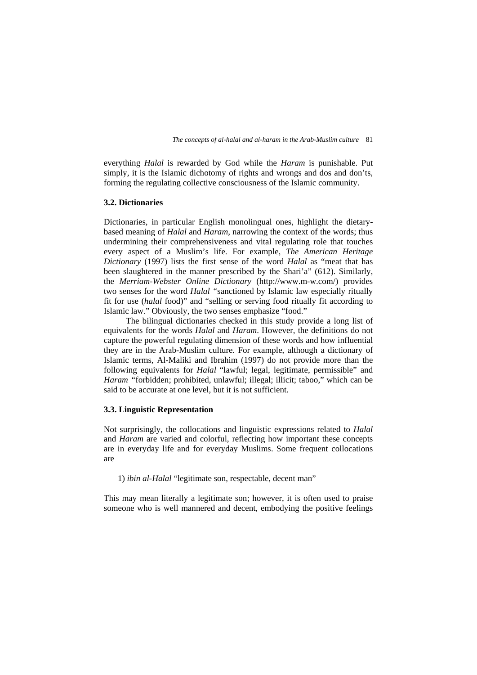everything *Halal* is rewarded by God while the *Haram* is punishable. Put simply, it is the Islamic dichotomy of rights and wrongs and dos and don'ts, forming the regulating collective consciousness of the Islamic community.

## **3.2. Dictionaries**

Dictionaries, in particular English monolingual ones, highlight the dietarybased meaning of *Halal* and *Haram*, narrowing the context of the words; thus undermining their comprehensiveness and vital regulating role that touches every aspect of a Muslim's life. For example, *The American Heritage Dictionary* (1997) lists the first sense of the word *Halal* as "meat that has been slaughtered in the manner prescribed by the Shari'a" (612). Similarly, the *Merriam-Webster Online Dictionary* (http://www.m-w.com/) provides two senses for the word *Halal "*sanctioned by Islamic law especially ritually fit for use (*halal* food)" and "selling or serving food ritually fit according to Islamic law." Obviously, the two senses emphasize "food."

The bilingual dictionaries checked in this study provide a long list of equivalents for the words *Halal* and *Haram*. However, the definitions do not capture the powerful regulating dimension of these words and how influential they are in the Arab-Muslim culture. For example, although a dictionary of Islamic terms, Al-Maliki and Ibrahim (1997) do not provide more than the following equivalents for *Halal* "lawful; legal, legitimate, permissible" and *Haram* "forbidden; prohibited, unlawful; illegal; illicit; taboo," which can be said to be accurate at one level, but it is not sufficient.

## **3.3. Linguistic Representation**

Not surprisingly, the collocations and linguistic expressions related to *Halal*  and *Haram* are varied and colorful, reflecting how important these concepts are in everyday life and for everyday Muslims. Some frequent collocations are

1) *ibin al-Halal* "legitimate son, respectable, decent man"

This may mean literally a legitimate son; however, it is often used to praise someone who is well mannered and decent, embodying the positive feelings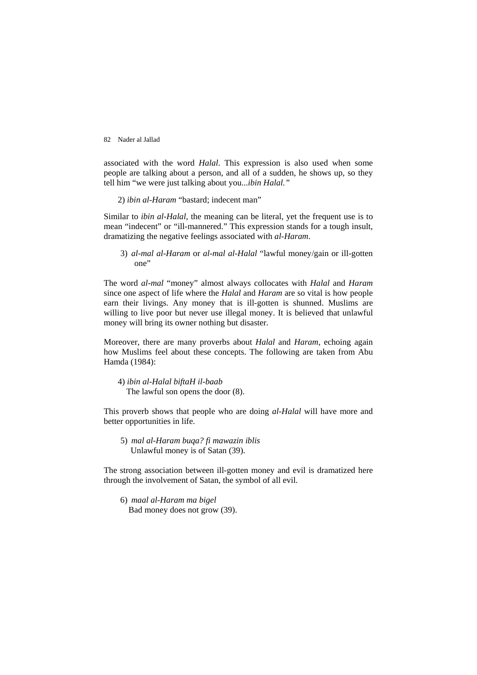associated with the word *Halal*. This expression is also used when some people are talking about a person, and all of a sudden, he shows up, so they tell him "we were just talking about you...*ibin Halal."* 

2) *ibin al-Haram* "bastard; indecent man"

Similar to *ibin al-Halal*, the meaning can be literal, yet the frequent use is to mean "indecent" or "ill-mannered." This expression stands for a tough insult, dramatizing the negative feelings associated with *al-Haram*.

3) *al-mal al-Haram* or *al-mal al-Halal* "lawful money/gain or ill-gotten one"

The word *al-mal* "money" almost always collocates with *Halal* and *Haram* since one aspect of life where the *Halal* and *Haram* are so vital is how people earn their livings. Any money that is ill-gotten is shunned. Muslims are willing to live poor but never use illegal money. It is believed that unlawful money will bring its owner nothing but disaster.

Moreover, there are many proverbs about *Halal* and *Haram*, echoing again how Muslims feel about these concepts. The following are taken from Abu Hamda (1984):

4) *ibin al-Halal biftaH il-baab* The lawful son opens the door (8).

This proverb shows that people who are doing *al-Halal* will have more and better opportunities in life.

5) *mal al-Haram buqa? fi mawazin iblis*  Unlawful money is of Satan (39).

The strong association between ill-gotten money and evil is dramatized here through the involvement of Satan, the symbol of all evil.

6) *maal al-Haram ma bigel*  Bad money does not grow (39).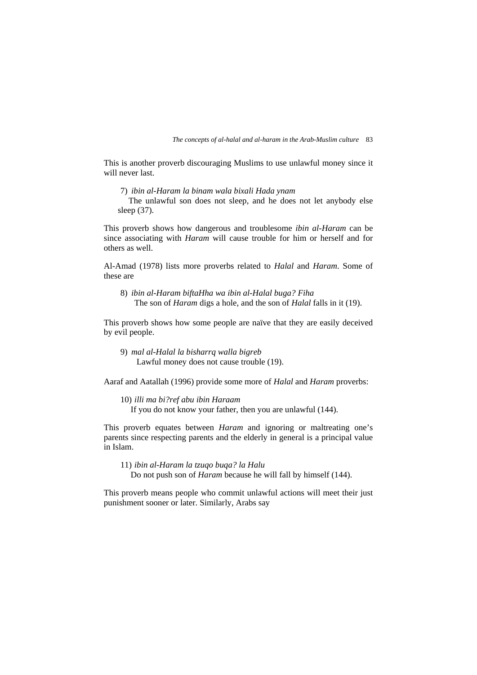This is another proverb discouraging Muslims to use unlawful money since it will never last.

7) *ibin al-Haram la binam wala bixali Hada ynam* 

 The unlawful son does not sleep, and he does not let anybody else sleep (37).

This proverb shows how dangerous and troublesome *ibin al-Haram* can be since associating with *Haram* will cause trouble for him or herself and for others as well.

Al-Amad (1978) lists more proverbs related to *Halal* and *Haram*. Some of these are

8) *ibin al-Haram biftaHha wa ibin al-Halal buga? Fiha* The son of *Haram* digs a hole, and the son of *Halal* falls in it (19).

This proverb shows how some people are naïve that they are easily deceived by evil people.

9) *mal al-Halal la bisharrq walla bigreb*  Lawful money does not cause trouble (19).

Aaraf and Aatallah (1996) provide some more of *Halal* and *Haram* proverbs:

10) *illi ma bi?ref abu ibin Haraam*  If you do not know your father, then you are unlawful (144).

This proverb equates between *Haram* and ignoring or maltreating one's parents since respecting parents and the elderly in general is a principal value in Islam.

11) *ibin al-Haram la tzuqo buqa? la Halu*  Do not push son of *Haram* because he will fall by himself (144).

This proverb means people who commit unlawful actions will meet their just punishment sooner or later. Similarly, Arabs say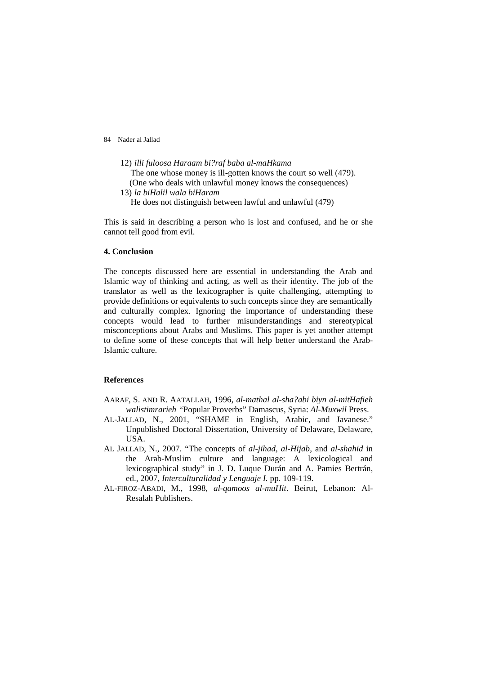12) *illi fuloosa Haraam bi?raf baba al-maHkama*  The one whose money is ill-gotten knows the court so well (479). (One who deals with unlawful money knows the consequences) 13) *la biHalil wala biHaram*  He does not distinguish between lawful and unlawful (479)

This is said in describing a person who is lost and confused, and he or she cannot tell good from evil.

### **4. Conclusion**

The concepts discussed here are essential in understanding the Arab and Islamic way of thinking and acting, as well as their identity. The job of the translator as well as the lexicographer is quite challenging, attempting to provide definitions or equivalents to such concepts since they are semantically and culturally complex. Ignoring the importance of understanding these concepts would lead to further misunderstandings and stereotypical misconceptions about Arabs and Muslims. This paper is yet another attempt to define some of these concepts that will help better understand the Arab-Islamic culture.

#### **References**

- AARAF, S. AND R. AATALLAH, 1996, *al-mathal al-sha?abi biyn al-mitHafieh walistimrarieh "*Popular Proverbs" Damascus, Syria: *Al-Muxwil* Press.
- AL-JALLAD, N., 2001, "SHAME in English, Arabic, and Javanese." Unpublished Doctoral Dissertation, University of Delaware, Delaware, USA.
- AL JALLAD, N., 2007. "The concepts of *al-jihad, al-Hijab,* and *al-shahid* in the Arab-Muslim culture and language: A lexicological and lexicographical study" in J. D. Luque Durán and A. Pamies Bertrán, ed., 2007, *Interculturalidad y Lenguaje I.* pp. 109-119.
- AL-FIROZ-ABADI, M., 1998, *al-qamoos al-muHit*. Beirut, Lebanon: Al-Resalah Publishers.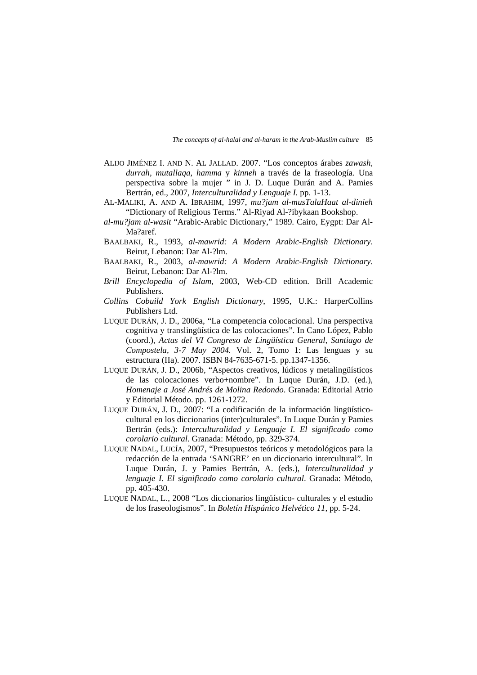- ALIJO JIMÉNEZ I. AND N. AL JALLAD. 2007. "Los conceptos árabes *zawash, durrah, mutallaqa, hamma* y *kinneh* a través de la fraseología. Una perspectiva sobre la mujer " in J. D. Luque Durán and A. Pamies Bertrán, ed., 2007, *Interculturalidad y Lenguaje I.* pp. 1-13.
- AL-MALIKI, A. AND A. IBRAHIM, 1997, *mu?jam al-musTalaHaat al-dinieh* "Dictionary of Religious Terms." Al-Riyad Al-?ibykaan Bookshop.
- *al-mu?jam al-wasit* "Arabic-Arabic Dictionary," 1989. Cairo, Eygpt: Dar Al-Ma?aref.
- BAALBAKI, R., 1993, *al-mawrid: A Modern Arabic-English Dictionary*. Beirut, Lebanon: Dar Al-?lm.
- BAALBAKI, R., 2003, *al-mawrid: A Modern Arabic-English Dictionary*. Beirut, Lebanon: Dar Al-?lm.
- *Brill Encyclopedia of Islam*, 2003, Web-CD edition. Brill Academic Publishers.
- *Collins Cobuild York English Dictionary*, 1995, U.K.: HarperCollins Publishers Ltd.
- LUQUE DURÁN, J. D., 2006a, "La competencia colocacional. Una perspectiva cognitiva y translingüística de las colocaciones". In Cano López, Pablo (coord.), *Actas del VI Congreso de Lingüística General, Santiago de Compostela, 3-7 May 2004.* Vol. 2, Tomo 1: Las lenguas y su estructura (IIa). 2007. ISBN 84-7635-671-5. pp.1347-1356.
- LUQUE DURÁN, J. D., 2006b, "Aspectos creativos, lúdicos y metalingüísticos de las colocaciones verbo+nombre". In Luque Durán, J.D. (ed.), *Homenaje a José Andrés de Molina Redondo*. Granada: Editorial Atrio y Editorial Método. pp. 1261-1272.
- LUQUE DURÁN, J. D., 2007: "La codificación de la información lingüísticocultural en los diccionarios (inter)culturales". In Luque Durán y Pamies Bertrán (eds.): *Interculturalidad y Lenguaje I. El significado como corolario cultural*. Granada: Método, pp. 329-374.
- LUQUE NADAL, LUCÍA, 2007, "Presupuestos teóricos y metodológicos para la redacción de la entrada 'SANGRE' en un diccionario intercultural". In Luque Durán, J. y Pamies Bertrán, A. (eds.), *Interculturalidad y lenguaje I. El significado como corolario cultural*. Granada: Método, pp. 405-430.
- LUQUE NADAL, L., 2008 "Los diccionarios lingüístico- culturales y el estudio de los fraseologismos". In *Boletín Hispánico Helvético 11,* pp. 5-24.